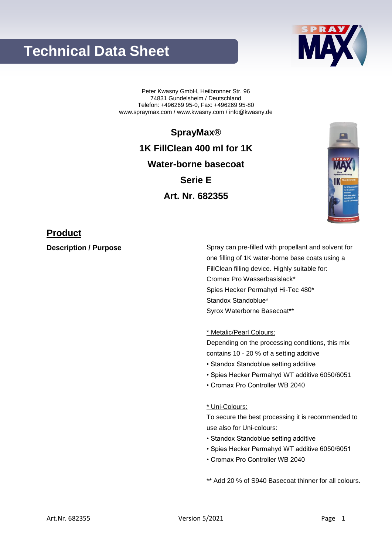# **Technical Data Sheet**



Peter Kwasny GmbH, Heilbronner Str. 96 74831 Gundelsheim / Deutschland Telefon: +496269 95-0, Fax: +496269 95-80 www.spraymax.com / www.kwasny.com / info@kwasny.de

**SprayMax®**

**1K FillClean 400 ml for 1K Water-borne basecoat Serie E Art. Nr. 682355**



## **Product**

**Description / Purpose** Spray can pre-filled with propellant and solvent for one filling of 1K water-borne base coats using a FillClean filling device. Highly suitable for: Cromax Pro Wasserbasislack\* Spies Hecker Permahyd Hi-Tec 480\* Standox Standoblue\* Syrox Waterborne Basecoat\*\*

\* Metalic/Pearl Colours:

Depending on the processing conditions, this mix contains 10 - 20 % of a setting additive

- Standox Standoblue setting additive
- Spies Hecker Permahyd WT additive 6050/6051
- Cromax Pro Controller WB 2040

### \* Uni-Colours:

To secure the best processing it is recommended to use also for Uni-colours:

- Standox Standoblue setting additive
- Spies Hecker Permahyd WT additive 6050/6051
- Cromax Pro Controller WB 2040

\*\* Add 20 % of S940 Basecoat thinner for all colours.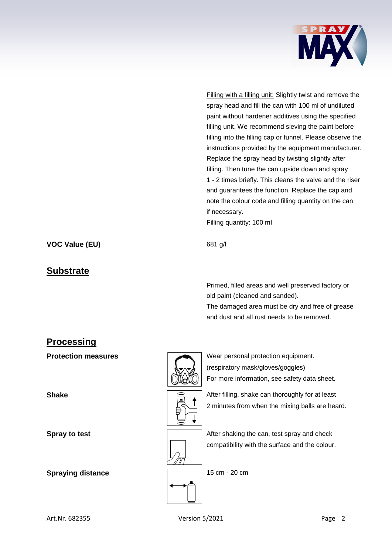

Filling with a filling unit: Slightly twist and remove the spray head and fill the can with 100 ml of undiluted paint without hardener additives using the specified filling unit. We recommend sieving the paint before filling into the filling cap or funnel. Please observe the instructions provided by the equipment manufacturer. Replace the spray head by twisting slightly after filling. Then tune the can upside down and spray 1 - 2 times briefly. This cleans the valve and the riser and guarantees the function. Replace the cap and note the colour code and filling quantity on the can if necessary.

Filling quantity: 100 ml

**VOC Value (EU)** 681 g/l

### **Substrate**

Primed, filled areas and well preserved factory or old paint (cleaned and sanded).

The damaged area must be dry and free of grease and dust and all rust needs to be removed.

## **Processing**

**Spray to test Spray to test** After shaking the can, test spray and check

**Spraying distance** 15 cm - 20 cm



**Protection measures** Wear personal protection equipment. (respiratory mask/gloves/goggles) For more information, see safety data sheet.

**Shake After filling, shake can thoroughly for at least**  $\widehat{=}$ 2 minutes from when the mixing balls are heard.

compatibility with the surface and the colour.

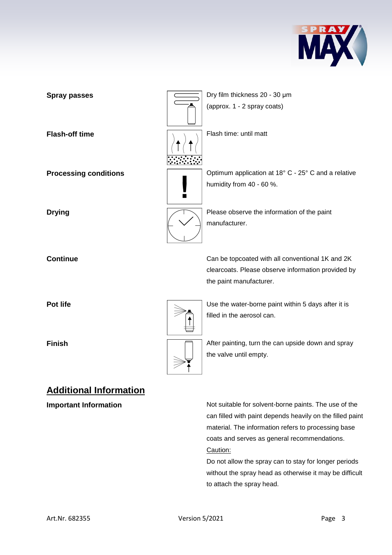



**Important Information** Not suitable for solvent-borne paints. The use of the can filled with paint depends heavily on the filled paint material. The information refers to processing base coats and serves as general recommendations. Caution:

> Do not allow the spray can to stay for longer periods without the spray head as otherwise it may be difficult to attach the spray head.